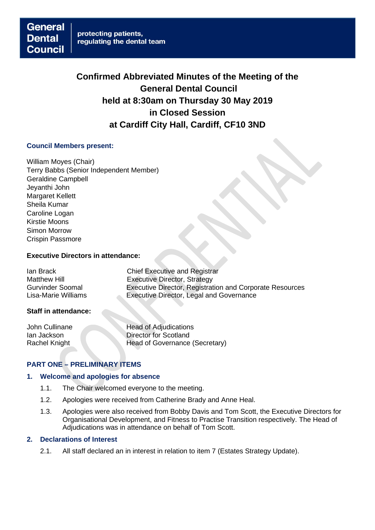**Confirmed Abbreviated Minutes of the Meeting of the General Dental Council held at 8:30am on Thursday 30 May 2019 in Closed Session at Cardiff City Hall, Cardiff, CF10 3ND**

## **Council Members present:**

William Moyes (Chair) Terry Babbs (Senior Independent Member) Geraldine Campbell Jeyanthi John Margaret Kellett Sheila Kumar Caroline Logan Kirstie Moons Simon Morrow Crispin Passmore

# **Executive Directors in attendance:**

Ian Brack Chief Executive and Registrar Matthew Hill<br>
Gurvinder Soomal<br>
Executive Director, Registrat Executive Director, Registration and Corporate Resources Lisa-Marie Williams Executive Director, Legal and Governance

#### **Staff in attendance:**

John Cullinane Head of Adjudications **Ian Jackson** Director for Scotland Rachel Knight Head of Governance (Secretary)

# **PART ONE – PRELIMINARY ITEMS**

#### **1. Welcome and apologies for absence**

- 1.1. The Chair welcomed everyone to the meeting.
- 1.2. Apologies were received from Catherine Brady and Anne Heal.
- 1.3. Apologies were also received from Bobby Davis and Tom Scott, the Executive Directors for Organisational Development, and Fitness to Practise Transition respectively. The Head of Adjudications was in attendance on behalf of Tom Scott.

#### **2. Declarations of Interest**

2.1. All staff declared an in interest in relation to item 7 (Estates Strategy Update).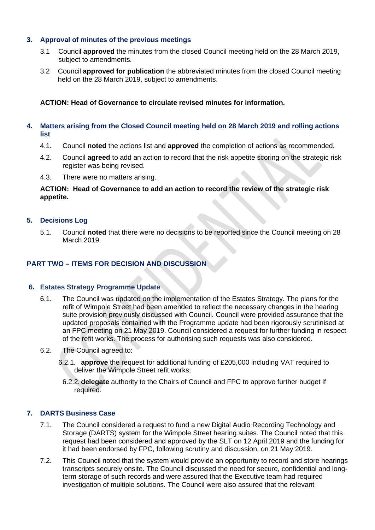## **3. Approval of minutes of the previous meetings**

- 3.1 Council **approved** the minutes from the closed Council meeting held on the 28 March 2019, subject to amendments.
- 3.2 Council **approved for publication** the abbreviated minutes from the closed Council meeting held on the 28 March 2019, subject to amendments.

**ACTION: Head of Governance to circulate revised minutes for information.**

## **4. Matters arising from the Closed Council meeting held on 28 March 2019 and rolling actions list**

- 4.1. Council **noted** the actions list and **approved** the completion of actions as recommended.
- 4.2. Council **agreed** to add an action to record that the risk appetite scoring on the strategic risk register was being revised.
- 4.3. There were no matters arising.

## **ACTION: Head of Governance to add an action to record the review of the strategic risk appetite.**

# **5. Decisions Log**

5.1. Council **noted** that there were no decisions to be reported since the Council meeting on 28 March 2019.

# **PART TWO – ITEMS FOR DECISION AND DISCUSSION**

## **6. Estates Strategy Programme Update**

- 6.1. The Council was updated on the implementation of the Estates Strategy. The plans for the refit of Wimpole Street had been amended to reflect the necessary changes in the hearing suite provision previously discussed with Council. Council were provided assurance that the updated proposals contained with the Programme update had been rigorously scrutinised at an FPC meeting on 21 May 2019. Council considered a request for further funding in respect of the refit works. The process for authorising such requests was also considered.
- 6.2. The Council agreed to:
	- 6.2.1. **approve** the request for additional funding of £205,000 including VAT required to deliver the Wimpole Street refit works;
	- 6.2.2. **delegate** authority to the Chairs of Council and FPC to approve further budget if required.

## **7. DARTS Business Case**

- 7.1. The Council considered a request to fund a new Digital Audio Recording Technology and Storage (DARTS) system for the Wimpole Street hearing suites. The Council noted that this request had been considered and approved by the SLT on 12 April 2019 and the funding for it had been endorsed by FPC, following scrutiny and discussion, on 21 May 2019.
- 7.2. This Council noted that the system would provide an opportunity to record and store hearings transcripts securely onsite. The Council discussed the need for secure, confidential and longterm storage of such records and were assured that the Executive team had required investigation of multiple solutions. The Council were also assured that the relevant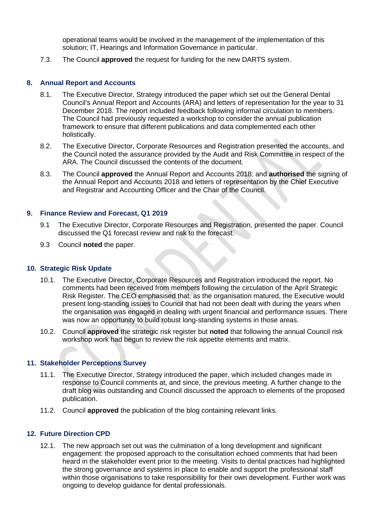operational teams would be involved in the management of the implementation of this solution: IT, Hearings and Information Governance in particular.

7.3. The Council **approved** the request for funding for the new DARTS system.

#### **8. Annual Report and Accounts**

- 8.1. The Executive Director, Strategy introduced the paper which set out the General Dental Council's Annual Report and Accounts (ARA) and letters of representation for the year to 31 December 2018. The report included feedback following informal circulation to members. The Council had previously requested a workshop to consider the annual publication framework to ensure that different publications and data complemented each other holistically.
- 8.2. The Executive Director, Corporate Resources and Registration presented the accounts, and the Council noted the assurance provided by the Audit and Risk Committee in respect of the ARA. The Council discussed the contents of the document.
- 8.3. The Council **approved** the Annual Report and Accounts 2018; and **authorised** the signing of the Annual Report and Accounts 2018 and letters of representation by the Chief Executive and Registrar and Accounting Officer and the Chair of the Council.

#### **9. Finance Review and Forecast, Q1 2019**

- 9.1 The Executive Director, Corporate Resources and Registration, presented the paper. Council discussed the Q1 forecast review and risk to the forecast.
- 9.3 Council **noted** the paper.

#### **10. Strategic Risk Update**

- 10.1. The Executive Director, Corporate Resources and Registration introduced the report. No comments had been received from members following the circulation of the April Strategic Risk Register. The CEO emphasised that, as the organisation matured, the Executive would present long-standing issues to Council that had not been dealt with during the years when the organisation was engaged in dealing with urgent financial and performance issues. There was now an opportunity to build robust long-standing systems in those areas.
- 10.2. Council **approved** the strategic risk register but **noted** that following the annual Council risk workshop work had begun to review the risk appetite elements and matrix.

#### **11. Stakeholder Perceptions Survey**

- 11.1. The Executive Director, Strategy introduced the paper, which included changes made in response to Council comments at, and since, the previous meeting. A further change to the draft blog was outstanding and Council discussed the approach to elements of the proposed publication.
- 11.2. Council **approved** the publication of the blog containing relevant links.

## **12. Future Direction CPD**

12.1. The new approach set out was the culmination of a long development and significant engagement: the proposed approach to the consultation echoed comments that had been heard in the stakeholder event prior to the meeting. Visits to dental practices had highlighted the strong governance and systems in place to enable and support the professional staff within those organisations to take responsibility for their own development. Further work was ongoing to develop guidance for dental professionals.